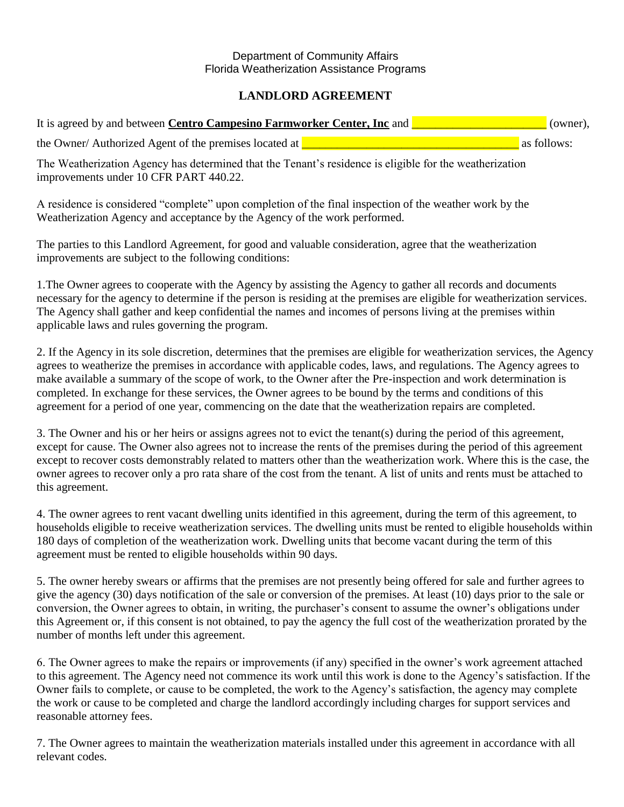## Department of Community Affairs Florida Weatherization Assistance Programs

## **LANDLORD AGREEMENT**

| It is agreed by and between <b>Centro Campesino Farmworker Center, Inc</b> and | (owner),    |  |
|--------------------------------------------------------------------------------|-------------|--|
| the Owner/ Authorized Agent of the premises located at <u>I</u>                | as follows: |  |

The Weatherization Agency has determined that the Tenant's residence is eligible for the weatherization improvements under 10 CFR PART 440.22.

A residence is considered "complete" upon completion of the final inspection of the weather work by the Weatherization Agency and acceptance by the Agency of the work performed.

The parties to this Landlord Agreement, for good and valuable consideration, agree that the weatherization improvements are subject to the following conditions:

1.The Owner agrees to cooperate with the Agency by assisting the Agency to gather all records and documents necessary for the agency to determine if the person is residing at the premises are eligible for weatherization services. The Agency shall gather and keep confidential the names and incomes of persons living at the premises within applicable laws and rules governing the program.

2. If the Agency in its sole discretion, determines that the premises are eligible for weatherization services, the Agency agrees to weatherize the premises in accordance with applicable codes, laws, and regulations. The Agency agrees to make available a summary of the scope of work, to the Owner after the Pre-inspection and work determination is completed. In exchange for these services, the Owner agrees to be bound by the terms and conditions of this agreement for a period of one year, commencing on the date that the weatherization repairs are completed.

3. The Owner and his or her heirs or assigns agrees not to evict the tenant(s) during the period of this agreement, except for cause. The Owner also agrees not to increase the rents of the premises during the period of this agreement except to recover costs demonstrably related to matters other than the weatherization work. Where this is the case, the owner agrees to recover only a pro rata share of the cost from the tenant. A list of units and rents must be attached to this agreement.

4. The owner agrees to rent vacant dwelling units identified in this agreement, during the term of this agreement, to households eligible to receive weatherization services. The dwelling units must be rented to eligible households within 180 days of completion of the weatherization work. Dwelling units that become vacant during the term of this agreement must be rented to eligible households within 90 days.

5. The owner hereby swears or affirms that the premises are not presently being offered for sale and further agrees to give the agency (30) days notification of the sale or conversion of the premises. At least (10) days prior to the sale or conversion, the Owner agrees to obtain, in writing, the purchaser's consent to assume the owner's obligations under this Agreement or, if this consent is not obtained, to pay the agency the full cost of the weatherization prorated by the number of months left under this agreement.

6. The Owner agrees to make the repairs or improvements (if any) specified in the owner's work agreement attached to this agreement. The Agency need not commence its work until this work is done to the Agency's satisfaction. If the Owner fails to complete, or cause to be completed, the work to the Agency's satisfaction, the agency may complete the work or cause to be completed and charge the landlord accordingly including charges for support services and reasonable attorney fees.

7. The Owner agrees to maintain the weatherization materials installed under this agreement in accordance with all relevant codes.